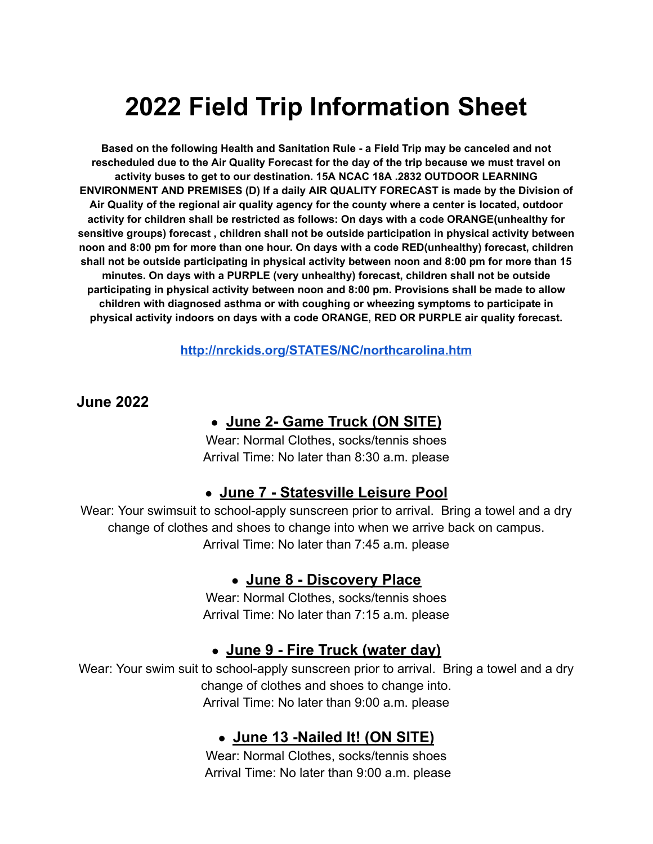# **2022 Field Trip Information Sheet**

**Based on the following Health and Sanitation Rule - a Field Trip may be canceled and not rescheduled due to the Air Quality Forecast for the day of the trip because we must travel on activity buses to get to our destination. 15A NCAC 18A .2832 OUTDOOR LEARNING ENVIRONMENT AND PREMISES (D) If a daily AIR QUALITY FORECAST is made by the Division of Air Quality of the regional air quality agency for the county where a center is located, outdoor activity for children shall be restricted as follows: On days with a code ORANGE(unhealthy for sensitive groups) forecast , children shall not be outside participation in physical activity between noon and 8:00 pm for more than one hour. On days with a code RED(unhealthy) forecast, children shall not be outside participating in physical activity between noon and 8:00 pm for more than 15 minutes. On days with a PURPLE (very unhealthy) forecast, children shall not be outside participating in physical activity between noon and 8:00 pm. Provisions shall be made to allow children with diagnosed asthma or with coughing or wheezing symptoms to participate in physical activity indoors on days with a code ORANGE, RED OR PURPLE air quality forecast.**

**<http://nrckids.org/STATES/NC/northcarolina.htm>**

**June 2022**

## ● **June 2- Game Truck (ON SITE)**

Wear: Normal Clothes, socks/tennis shoes Arrival Time: No later than 8:30 a.m. please

#### ● **June 7 - Statesville Leisure Pool**

Wear: Your swimsuit to school-apply sunscreen prior to arrival. Bring a towel and a dry change of clothes and shoes to change into when we arrive back on campus. Arrival Time: No later than 7:45 a.m. please

#### ● **June 8 - Discovery Place**

Wear: Normal Clothes, socks/tennis shoes Arrival Time: No later than 7:15 a.m. please

#### ● **June 9 - Fire Truck (water day)**

Wear: Your swim suit to school-apply sunscreen prior to arrival. Bring a towel and a dry change of clothes and shoes to change into. Arrival Time: No later than 9:00 a.m. please

## ● **June 13 -Nailed It! (ON SITE)**

Wear: Normal Clothes, socks/tennis shoes Arrival Time: No later than 9:00 a.m. please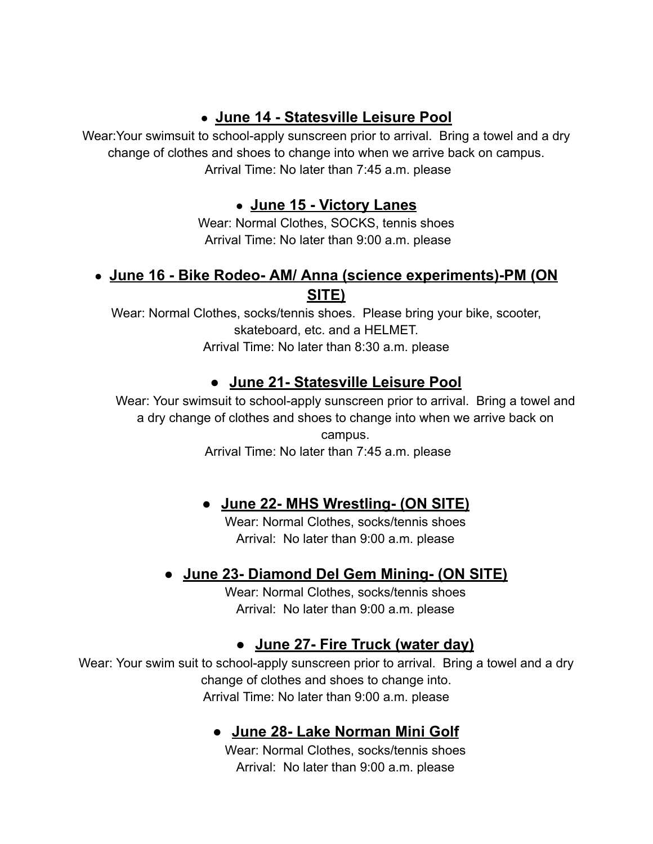#### ● **June 14 - Statesville Leisure Pool**

Wear:Your swimsuit to school-apply sunscreen prior to arrival. Bring a towel and a dry change of clothes and shoes to change into when we arrive back on campus. Arrival Time: No later than 7:45 a.m. please

#### ● **June 15 - Victory Lanes**

Wear: Normal Clothes, SOCKS, tennis shoes Arrival Time: No later than 9:00 a.m. please

#### ● **June 16 - Bike Rodeo- AM/ Anna (science experiments)-PM (ON SITE)**

Wear: Normal Clothes, socks/tennis shoes. Please bring your bike, scooter, skateboard, etc. and a HELMET. Arrival Time: No later than 8:30 a.m. please

# **● June 21- Statesville Leisure Pool**

Wear: Your swimsuit to school-apply sunscreen prior to arrival. Bring a towel and a dry change of clothes and shoes to change into when we arrive back on campus.

Arrival Time: No later than 7:45 a.m. please

# **● June 22- MHS Wrestling- (ON SITE)**

Wear: Normal Clothes, socks/tennis shoes Arrival: No later than 9:00 a.m. please

# **● June 23- Diamond Del Gem Mining- (ON SITE)**

Wear: Normal Clothes, socks/tennis shoes Arrival: No later than 9:00 a.m. please

# **● June 27- Fire Truck (water day)**

Wear: Your swim suit to school-apply sunscreen prior to arrival. Bring a towel and a dry change of clothes and shoes to change into. Arrival Time: No later than 9:00 a.m. please

# **● June 28- Lake Norman Mini Golf**

Wear: Normal Clothes, socks/tennis shoes Arrival: No later than 9:00 a.m. please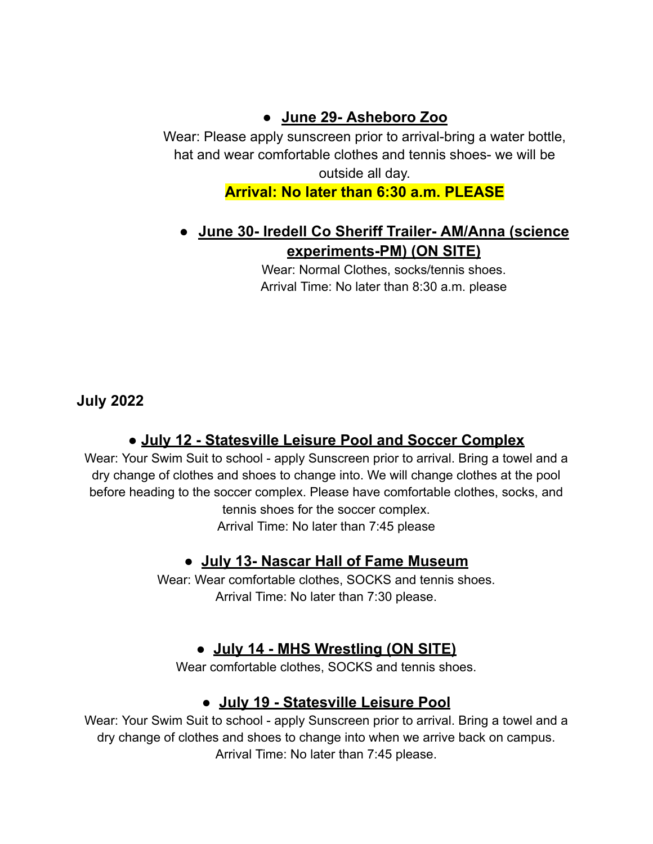# **● June 29- Asheboro Zoo**

Wear: Please apply sunscreen prior to arrival-bring a water bottle, hat and wear comfortable clothes and tennis shoes- we will be

outside all day.

#### **Arrival: No later than 6:30 a.m. PLEASE**

# **● June 30- Iredell Co Sheriff Trailer- AM/Anna (science experiments-PM) (ON SITE)**

Wear: Normal Clothes, socks/tennis shoes. Arrival Time: No later than 8:30 a.m. please

**July 2022**

## ● **July 12 - Statesville Leisure Pool and Soccer Complex**

Wear: Your Swim Suit to school - apply Sunscreen prior to arrival. Bring a towel and a dry change of clothes and shoes to change into. We will change clothes at the pool before heading to the soccer complex. Please have comfortable clothes, socks, and tennis shoes for the soccer complex. Arrival Time: No later than 7:45 please

## ● **July 13- Nascar Hall of Fame Museum**

Wear: Wear comfortable clothes, SOCKS and tennis shoes. Arrival Time: No later than 7:30 please.

## ● **July 14 - MHS Wrestling (ON SITE)**

Wear comfortable clothes, SOCKS and tennis shoes.

## ● **July 19 - Statesville Leisure Pool**

Wear: Your Swim Suit to school - apply Sunscreen prior to arrival. Bring a towel and a dry change of clothes and shoes to change into when we arrive back on campus. Arrival Time: No later than 7:45 please.